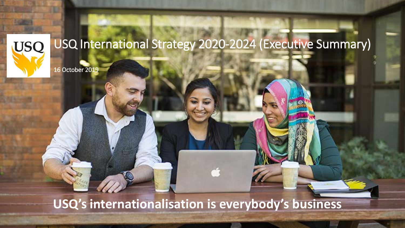

16 October 2019

# **USQ's internationalisation is everybody's business**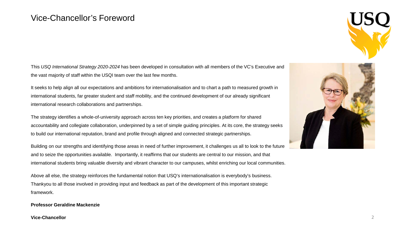#### Vice-Chancellor's Foreword

This *USQ International Strategy 2020-2024* has been developed in consultation with all members of the VC's Executive and the vast majority of staff within the USQI team over the last few months.

It seeks to help align all our expectations and ambitions for internationalisation and to chart a path to measured growth in international students, far greater student and staff mobility, and the continued development of our already significant international research collaborations and partnerships.

The strategy identifies a whole-of-university approach across ten key priorities, and creates a platform for shared accountability and collegiate collaboration, underpinned by a set of simple guiding principles. At its core, the strategy seeks to build our international reputation, brand and profile through aligned and connected strategic partnerships.

Building on our strengths and identifying those areas in need of further improvement, it challenges us all to look to the future and to seize the opportunities available. Importantly, it reaffirms that our students are central to our mission, and that international students bring valuable diversity and vibrant character to our campuses, whilst enriching our local communities.

Above all else, the strategy reinforces the fundamental notion that USQ's internationalisation is everybody's business. Thankyou to all those involved in providing input and feedback as part of the development of this important strategic framework.

#### **Professor Geraldine Mackenzie**

**Vice-Chancellor** 2

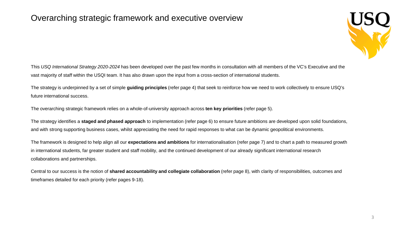#### Overarching strategic framework and executive overview



This *USQ International Strategy 2020-2024* has been developed over the past few months in consultation with all members of the VC's Executive and the vast majority of staff within the USQI team. It has also drawn upon the input from a cross-section of international students.

The strategy is underpinned by a set of simple **guiding principles** (refer page 4) that seek to reinforce how we need to work collectively to ensure USQ's future international success.

The overarching strategic framework relies on a whole-of-university approach across **ten key priorities** (refer page 5).

The strategy identifies a **staged and phased approach** to implementation (refer page 6) to ensure future ambitions are developed upon solid foundations, and with strong supporting business cases, whilst appreciating the need for rapid responses to what can be dynamic geopolitical environments.

The framework is designed to help align all our **expectations and ambitions** for internationalisation (refer page 7) and to chart a path to measured growth in international students, far greater student and staff mobility, and the continued development of our already significant international research collaborations and partnerships.

Central to our success is the notion of **shared accountability and collegiate collaboration** (refer page 8), with clarity of responsibilities, outcomes and timeframes detailed for each priority (refer pages 9-18).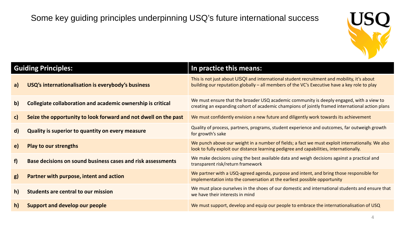

|              | <b>Guiding Principles:</b>                                      | In practice this means:                                                                                                                                                                     |
|--------------|-----------------------------------------------------------------|---------------------------------------------------------------------------------------------------------------------------------------------------------------------------------------------|
| a)           | USQ's internationalisation is everybody's business              | This is not just about USQI and international student recruitment and mobility, it's about<br>building our reputation globally - all members of the VC's Executive have a key role to play  |
| $\mathsf{b}$ | Collegiate collaboration and academic ownership is critical     | We must ensure that the broader USQ academic community is deeply engaged, with a view to<br>creating an expanding cohort of academic champions of jointly framed international action plans |
| $\mathsf{c}$ | Seize the opportunity to look forward and not dwell on the past | We must confidently envision a new future and diligently work towards its achievement                                                                                                       |
| $\mathsf{d}$ | Quality is superior to quantity on every measure                | Quality of process, partners, programs, student experience and outcomes, far outweigh growth<br>for growth's sake                                                                           |
| e)           | <b>Play to our strengths</b>                                    | We punch above our weight in a number of fields; a fact we must exploit internationally. We also<br>look to fully exploit our distance learning pedigree and capabilities, internationally. |
| f            | Base decisions on sound business cases and risk assessments     | We make decisions using the best available data and weigh decisions against a practical and<br>transparent risk/return framework                                                            |
| g)           | Partner with purpose, intent and action                         | We partner with a USQ-agreed agenda, purpose and intent, and bring those responsible for<br>implementation into the conversation at the earliest possible opportunity                       |
| h)           | <b>Students are central to our mission</b>                      | We must place ourselves in the shoes of our domestic and international students and ensure that<br>we have their interests in mind                                                          |
| h)           | <b>Support and develop our people</b>                           | We must support, develop and equip our people to embrace the internationalisation of USQ                                                                                                    |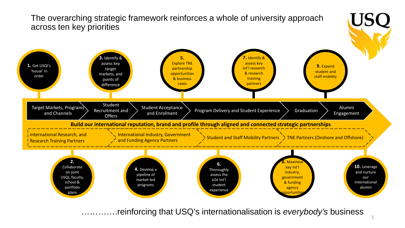

………….reinforcing that USQ's internationalisation is *everybody's* business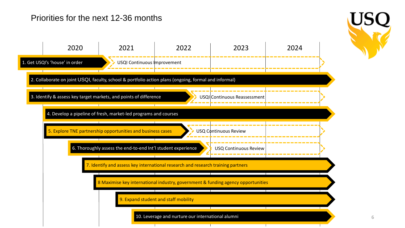#### Priorities for the next 12-36 months



6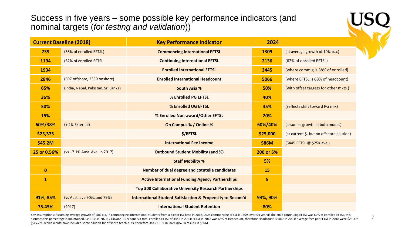Success in five years – some possible key performance indicators (and nominal targets (*for testing and validation*))

|              | <b>Current Baseline (2018)</b>      | <b>Key Performance Indicator</b>                                      | 2024      |                                           |  |
|--------------|-------------------------------------|-----------------------------------------------------------------------|-----------|-------------------------------------------|--|
| 739          | (38% of enrolled EFTSL)             | <b>Commencing International EFTSL</b>                                 | 1309      | (at average growth of 10% p.a.)           |  |
| 1194         | (62% of enrolled EFTSL              | <b>Continuing International EFTSL</b>                                 | 2136      | (62% of enrolled EFTSL)                   |  |
| 1934         |                                     | <b>Enrolled International EFTSL</b>                                   | 3445      | (where comm'g is 38% of enrolled)         |  |
| 2846         | (507 offshore, 2339 onshore)        | <b>Enrolled International Headcount</b>                               | 5066      | (where EFTSL is 68% of headcount)         |  |
| 65%          | (India, Nepal, Pakistan, Sri Lanka) | <b>South Asia %</b>                                                   | 50%       | (with offset targets for other mkts.)     |  |
| 35%          |                                     | % Enrolled PG EFTSL                                                   | 40%       |                                           |  |
| 50%          |                                     | % Enrolled UG EFTSL                                                   | 45%       | (reflects shift toward PG mix)            |  |
| 15%          |                                     | % Enrolled Non-award/Other EFTSL                                      | 20%       |                                           |  |
| 60%/38%      | (+2% External)                      | On Campus % / Online %                                                | 60%/40%   | (assumes growth in both modes)            |  |
| \$23,375     |                                     | \$/EFTSL                                                              | \$25,000  | (at current \$, but no offshore dilution) |  |
| \$45.2M      |                                     | <b>International Fee Income</b>                                       | \$86M     | (3445 EFTSL @ \$25K ave.)                 |  |
| 25 or 0.56%  | (vs 17.1% Aust. Ave. in 2017)       | <b>Outbound Student Mobility (and %)</b>                              | 200 or 5% |                                           |  |
|              |                                     | <b>Staff Mobility %</b>                                               | 5%        |                                           |  |
| $\mathbf{0}$ |                                     | Number of dual degree and cotutelle candidates                        | <b>15</b> |                                           |  |
| $\mathbf{1}$ |                                     | <b>Active International Funding Agency Partnerships</b>               | 5         |                                           |  |
|              |                                     | Top 300 Collaborative University Research Partnerships                |           |                                           |  |
| 91%, 85%     | (vs Aust. ave 90%, and 79%)         | <b>International Student Satisfaction &amp; Propensity to Recom'd</b> | 93%, 90%  |                                           |  |
| 75.45%       | (2017)                              | <b>International Student Retention</b>                                | 80%       |                                           |  |

Key assumptions: Assuming average growth of 10% p.a. in commencing international students from a 739 EFTSL base in 2018, 2024 commencing EFTSL is 1309 (over six years); The 2018 continuing EFTSL was 62% of enrolled EFTSL, (\$45.2M) which would have included some dilution for offshore teach-outs, therefore 3445 EFTSL in 2024 @\$25K results in \$86M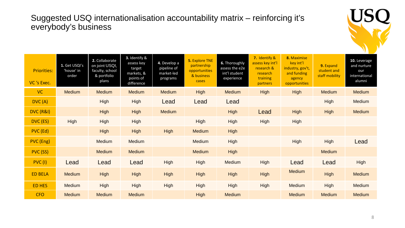#### Suggested USQ internationalisation accountability matrix – reinforcing it's everybody's business



| <b>Priorities:</b><br>VC 's Exec. | 1. Get USQI's<br>'house' in<br>order | 2. Collaborate<br>on joint USQI,<br>faculty, school<br>& portfolio<br>plans | 3. Identify &<br>assess key<br>target<br>markets, &<br>points of<br>difference | 4. Develop a<br>pipeline of<br>market-led<br>programs | <b>5. Explore TNE</b><br>partnership<br>opportunities<br>& business<br>cases | 6. Thoroughly<br>assess the e2e<br>int'l student<br>experience | 7. Identify &<br>assess key int'l<br>research &<br>research<br>training<br>partners | 8. Maximise<br>key int'l<br>industry, gov't,<br>and funding<br>agency<br>opportunities | 9. Expand<br>student and<br>staff mobility | 10. Leverage<br>and nurture<br>our<br>international<br>alumni |
|-----------------------------------|--------------------------------------|-----------------------------------------------------------------------------|--------------------------------------------------------------------------------|-------------------------------------------------------|------------------------------------------------------------------------------|----------------------------------------------------------------|-------------------------------------------------------------------------------------|----------------------------------------------------------------------------------------|--------------------------------------------|---------------------------------------------------------------|
| <b>VC</b>                         | <b>Medium</b>                        | <b>Medium</b>                                                               | <b>Medium</b>                                                                  | <b>Medium</b>                                         | <b>High</b>                                                                  | <b>Medium</b>                                                  | High                                                                                | High                                                                                   | <b>Medium</b>                              | Medium                                                        |
| DVC(A)                            |                                      | High                                                                        | High                                                                           | Lead                                                  | Lead                                                                         | Lead                                                           |                                                                                     |                                                                                        | High                                       | Medium                                                        |
| DVC (R&I)                         |                                      | High                                                                        | High                                                                           | <b>Medium</b>                                         |                                                                              | High                                                           | Lead                                                                                | High                                                                                   | High                                       | Medium                                                        |
| DVC (ES)                          | High                                 | High                                                                        | High                                                                           |                                                       | High                                                                         | High                                                           | High                                                                                | High                                                                                   |                                            |                                                               |
| PVC (Ed)                          |                                      | High                                                                        | High                                                                           | High                                                  | <b>Medium</b>                                                                | High                                                           |                                                                                     |                                                                                        |                                            |                                                               |
| PVC (Eng)                         |                                      | Medium                                                                      | Medium                                                                         |                                                       | Medium                                                                       | High                                                           |                                                                                     | High                                                                                   | High                                       | Lead                                                          |
| PVC (SS)                          |                                      | <b>Medium</b>                                                               | <b>Medium</b>                                                                  |                                                       | <b>Medium</b>                                                                | High                                                           |                                                                                     |                                                                                        | <b>Medium</b>                              |                                                               |
| <b>PVC (I)</b>                    | Lead                                 | Lead                                                                        | Lead                                                                           | <b>High</b>                                           | High                                                                         | Medium                                                         | High                                                                                | Lead                                                                                   | Lead                                       | <b>High</b>                                                   |
| <b>ED BELA</b>                    | <b>Medium</b>                        | High                                                                        | High                                                                           | <b>High</b>                                           | <b>High</b>                                                                  | High                                                           | High                                                                                | <b>Medium</b>                                                                          | <b>High</b>                                | <b>Medium</b>                                                 |
| <b>ED HES</b>                     | <b>Medium</b>                        | High                                                                        | High                                                                           | High                                                  | High                                                                         | High                                                           | High                                                                                | Medium                                                                                 | High                                       | Medium                                                        |
| <b>CFO</b>                        | <b>Medium</b>                        | <b>Medium</b>                                                               | <b>Medium</b>                                                                  |                                                       | <b>High</b>                                                                  | <b>Medium</b>                                                  |                                                                                     | <b>Medium</b>                                                                          | <b>Medium</b>                              | <b>Medium</b>                                                 |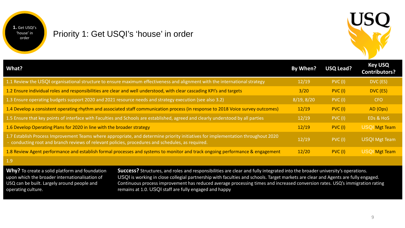

#### Priority 1: Get USQI's 'house' in order



| What?                                                                                                                                                                                                                                 | By When?   | <b>USQ Lead?</b> | <b>Key USQ</b><br><b>Contributors?</b> |
|---------------------------------------------------------------------------------------------------------------------------------------------------------------------------------------------------------------------------------------|------------|------------------|----------------------------------------|
| 1.1 Review the USQI organisational structure to ensure maximum effectiveness and alignment with the international strategy                                                                                                            | 12/19      | PVC(1)           | DVC (ES)                               |
| 1.2 Ensure individual roles and responsibilities are clear and well understood, with clear cascading KPI's and targets                                                                                                                | 3/20       | PVC(1)           | DVC (ES)                               |
| 1.3 Ensure operating budgets support 2020 and 2021 resource needs and strategy execution (see also 3.2)                                                                                                                               | 8/19, 8/20 | PVC(1)           | <b>CFO</b>                             |
| 1.4 Develop a consistent operating rhythm and associated staff communication process (in response to 2018 Voice survey outcomes)                                                                                                      | 12/19      | PVC(1)           | AD (Ops)                               |
| 1.5 Ensure that key points of interface with Faculties and Schools are established, agreed and clearly understood by all parties                                                                                                      | 12/19      | PVC(1)           | EDs & HoS                              |
| 1.6 Develop Operating Plans for 2020 in line with the broader strategy                                                                                                                                                                | 12/19      | PVC(1)           | <b>USQI Mgt Team</b>                   |
| 1.7 Establish Process Improvement Teams where appropriate, and determine priority initiatives for implementation throughout 2020<br>- conducting root and branch reviews of relevant policies, procedures and schedules, as required. | 12/19      | PVC(1)           | <b>USQI Mgt Team</b>                   |
| 1.8 Review Agent performance and establish formal processes and systems to monitor and track ongoing performance & engagement                                                                                                         | 12/20      | PVC(1)           | <b>USQI Mgt Team</b>                   |

1.9

**Why?** To create a solid platform and foundation upon which the broader internationalisation of USQ can be built. Largely around people and operating culture.

**Success?** Structures, and roles and responsibilities are clear and fully integrated into the broader university's operations. USQI is working in close collegial partnership with faculties and schools. Target markets are clear and Agents are fully engaged. Continuous process improvement has reduced average processing times and increased conversion rates. USQ's immigration rating remains at 1.0. USQI staff are fully engaged and happy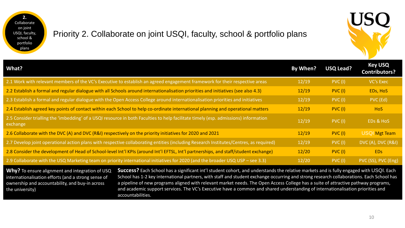**2.**  Collaborate on joint USQI, faculty, school & portfolio plans

#### Priority 2. Collaborate on joint USQI, faculty, school & portfolio plans



| What?                                                                                                                                           | By When? | <b>USQ Lead?</b> | <b>Key USQ</b><br><b>Contributors?</b> |
|-------------------------------------------------------------------------------------------------------------------------------------------------|----------|------------------|----------------------------------------|
| 2.1 Work with relevant members of the VC's Executive to establish an agreed engagement framework for their respective areas                     | 12/19    | PVC(1)           | <b>VC's Exec</b>                       |
| 2.2 Establish a formal and regular dialogue with all Schools around internationalisation priorities and initiatives (see also 4.3)              | 12/19    | PVC(I)           | EDs, HoS                               |
| 2.3 Establish a formal and regular dialogue with the Open Access College around internationalisation priorities and initiatives                 | 12/19    | PVC(1)           | PVC (Ed)                               |
| 2.4 Establish agreed key points of contact within each School to help co-ordinate international planning and operational matters                | 12/19    | PVC(1)           | <b>HoS</b>                             |
| 2.5 Consider trialling the 'imbedding' of a USQI resource in both Faculties to help facilitate timely (esp. admissions) information<br>exchange | 12/19    | PVC(1)           | EDs & HoS                              |
| 2.6 Collaborate with the DVC (A) and DVC (R&I) respectively on the priority initiatives for 2020 and 2021                                       | 12/19    | PVC(1)           | <b>USQI Mgt Team</b>                   |
| 2.7 Develop joint operational action plans with respective collaborating entities (including Research Institutes/Centres, as required)          | 12/19    | PVC(1)           | DVC (A), DVC (R&I)                     |
| 2.8 Consider the development of Head of School-level Int'l KPIs (around Int'l EFTSL, Int'l partnerships, and staff/student exchange)            | 12/20    | PVC(1)           | <b>EDs</b>                             |
| 2.9 Collaborate with the USQ Marketing team on priority international initiatives for 2020 (and the broader USQ USP – see 3.3)                  | 12/20    | PVC(1)           | PVC (SS), PVC (Eng)                    |
| $M\&R$                                                                                                                                          |          |                  |                                        |

**Why?** To ensure alignment and integration of USQ internationalisation efforts (and a strong sense of ownership and accountability, and buy-in across the university)

**Success?** Each School has a significant int'l student cohort, and understands the relative markets and is fully engaged with USQI. Each School has 1-2 key international partners, with staff and student exchange occurring and strong research collaborations. Each School has a pipeline of new programs aligned with relevant market needs. The Open Access College has a suite of attractive pathway programs, and academic support services. The VC's Executive have a common and shared understanding of internationalisation priorities and accountabilities.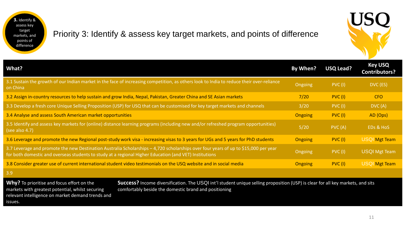**3.** Identify & assess key target markets, and points of difference

#### Priority 3: Identify & assess key target markets, and points of difference



| What?                                                                                                                                                                                                                                         | By When?       | <b>USQ Lead?</b> | <b>Key USQ</b><br><b>Contributors?</b> |
|-----------------------------------------------------------------------------------------------------------------------------------------------------------------------------------------------------------------------------------------------|----------------|------------------|----------------------------------------|
| 3.1 Sustain the growth of our Indian market in the face of increasing competition, as others look to India to reduce their over-reliance<br>on China                                                                                          | Ongoing        | PVC(1)           | DVC (ES)                               |
| 3.2 Assign in-country resources to help sustain and grow India, Nepal, Pakistan, Greater China and SE Asian markets                                                                                                                           | 7/20           | PVC(1)           | <b>CFO</b>                             |
| 3.3 Develop a fresh core Unique Selling Proposition (USP) for USQ that can be customised for key target markets and channels                                                                                                                  | 3/20           | PVC(1)           | DVC(A)                                 |
| 3.4 Analyse and assess South American market opportunities                                                                                                                                                                                    | <b>Ongoing</b> | PVC(1)           | AD (Ops)                               |
| 3.5 Identify and assess key markets for (online) distance learning programs (including new and/or refreshed program opportunities)<br>(see also $4.7$ )                                                                                       | 5/20           | PVC(A)           | EDs & HoS                              |
| 3.6 Leverage and promote the new Regional post-study work visa - increasing visas to 3 years for UGs and 5 years for PhD students                                                                                                             | <b>Ongoing</b> | PVC(1)           | <b>USQI Mgt Team</b>                   |
| 3.7 Leverage and promote the new Destination Australia Scholarships - 4,720 scholarships over four years of up to \$15,000 per year<br>for both domestic and overseas students to study at a regional Higher Education (and VET) Institutions | Ongoing        | <b>PVC (I)</b>   | <b>USQI Mgt Team</b>                   |
| 3.8 Consider greater use of current international student video testimonials on the USQ website and in social media                                                                                                                           | <b>Ongoing</b> | PVC(1)           | <b>USQI Mgt Team</b>                   |
| 3.9                                                                                                                                                                                                                                           |                |                  |                                        |

**Why?** To prioritise and focus effort on the markets with greatest potential, whilst securing relevant intelligence on market demand trends and issues.

**Success?** Income diversification. The USQI int'l student unique selling proposition (USP) is clear for all key markets, and sits comfortably beside the domestic brand and positioning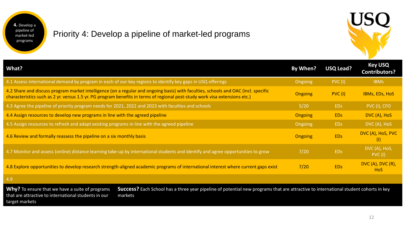**4.** Develop a pipeline of market-led programs

#### Priority 4: Develop a pipeline of market-led programs



| What?                                                                                                                                                                                                                                                             | By When?       | <b>USQ Lead?</b> | <b>Key USQ</b><br><b>Contributors?</b> |
|-------------------------------------------------------------------------------------------------------------------------------------------------------------------------------------------------------------------------------------------------------------------|----------------|------------------|----------------------------------------|
| 4.1 Assess international demand by program in each of our key regions to identify key gaps in USQ offerings                                                                                                                                                       | <b>Ongoing</b> | PVC(1)           | <b>IBMs</b>                            |
| 4.2 Share and discuss program market intelligence (on a regular and ongoing basis) with faculties, schools and OAC (incl. specific<br>characteristics such as 2 yr. versus 1.5 yr. PG program benefits in terms of regional post-study work visa extensions etc.) | <b>Ongoing</b> | PVC(1)           | <b>IBMs, EDs, HoS</b>                  |
| 4.3 Agree the pipeline of priority program needs for 2021, 2022 and 2023 with faculties and schools                                                                                                                                                               | 5/20           | <b>EDs</b>       | PVC (I), CFO                           |
| 4.4 Assign resources to develop new programs in line with the agreed pipeline                                                                                                                                                                                     | <b>Ongoing</b> | <b>EDs</b>       | DVC (A), HoS                           |
| 4.5 Assign resources to refresh and adapt existing programs in line with the agreed pipeline                                                                                                                                                                      | Ongoing        | <b>EDs</b>       | DVC (A), HoS                           |
| 4.6 Review and formally reassess the pipeline on a six monthly basis                                                                                                                                                                                              | <b>Ongoing</b> | <b>EDs</b>       | DVC (A), HoS, PVC<br>$\vert$ (I)       |
| 4.7 Monitor and assess (online) distance learning take-up by international students and identify and agree opportunities to grow                                                                                                                                  | 7/20           | <b>EDs</b>       | DVC (A), HoS,<br>PVC(1)                |
| 4.8 Explore opportunities to develop research strength-aligned academic programs of international interest where current gaps exist                                                                                                                               | 7/20           | ED <sub>s</sub>  | <b>DVC (A), DVC (R),</b><br><b>HoS</b> |
| 4.9                                                                                                                                                                                                                                                               |                |                  |                                        |

Why? To ensure that we have a suite of programs that are attractive to international students in our target markets

**Success?** Each School has a three year pipeline of potential new programs that are attractive to international student cohorts in key markets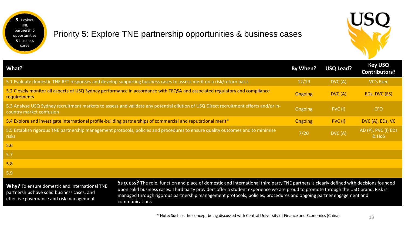

## Priority 5: Explore TNE partnership opportunities & business cases



| What?                                                                                                                                                             | By When?       | USQ Lead? | <b>Key USQ</b><br><b>Contributors?</b> |
|-------------------------------------------------------------------------------------------------------------------------------------------------------------------|----------------|-----------|----------------------------------------|
| 5.1 Evaluate domestic TNE RFT responses and develop supporting business cases to assess merit on a risk/return basis                                              | 12/19          | DVC(A)    | <b>VC's Exec</b>                       |
| 5.2 Closely monitor all aspects of USQ Sydney performance in accordance with TEQSA and associated regulatory and compliance<br><b>requirements</b>                | <b>Ongoing</b> | DVC(A)    | EDs, DVC (ES)                          |
| 5.3 Analyse USQ Sydney recruitment markets to assess and validate any potential dilution of USQ Direct recruitment efforts and/or in-<br>country market confusion | Ongoing        | PVC(1)    | <b>CFO</b>                             |
| 5.4 Explore and investigate international profile-building partnerships of commercial and reputational merit <sup>*</sup>                                         | <b>Ongoing</b> | PVC(1)    | DVC (A), EDs, VC                       |
| 5.5 Establish rigorous TNE partnership management protocols, policies and procedures to ensure quality outcomes and to minimise<br>risks                          | 7/20           | DVC(A)    | AD (P), PVC (I) EDs<br>& HoS           |
| 5.6                                                                                                                                                               |                |           |                                        |
| 5.7                                                                                                                                                               |                |           |                                        |
| 5.8                                                                                                                                                               |                |           |                                        |
| 5.9                                                                                                                                                               |                |           |                                        |
| Cunnana) The sole function and place of democite and international third post. TNF postpare is classed what defined with decisions founded                        |                |           |                                        |

**Why?** To ensure domestic and international TNE partnerships have solid business cases, and effective governance and risk management

**Success?** The role, function and place of domestic and international third party TNE partners is clearly defined with decisions founded upon solid business cases. Third party providers offer a student experience we are proud to promote through the USQ brand. Risk is managed through rigorous partnership management protocols, policies, procedures and ongoing partner engagement and communications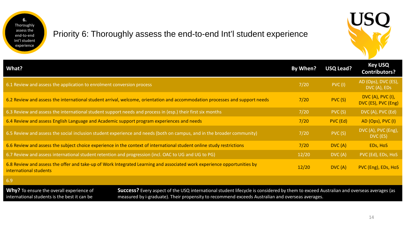

## Priority 6: Thoroughly assess the end-to-end Int'l student experience



| What?                                                                                                                                                                                                                                                                                                                                 |                                                                                                                             | By When? | <b>USQ Lead?</b> | <b>Key USQ</b><br><b>Contributors?</b>          |
|---------------------------------------------------------------------------------------------------------------------------------------------------------------------------------------------------------------------------------------------------------------------------------------------------------------------------------------|-----------------------------------------------------------------------------------------------------------------------------|----------|------------------|-------------------------------------------------|
| 6.1 Review and assess the application to enrolment conversion process                                                                                                                                                                                                                                                                 |                                                                                                                             | 7/20     | PVC(1)           | AD (Ops), DVC (ES),<br>DVC (A), EDs             |
|                                                                                                                                                                                                                                                                                                                                       | 6.2 Review and assess the international student arrival, welcome, orientation and accommodation processes and support needs | 7/20     | PVC(S)           | <b>DVC (A), PVC (I),</b><br>DVC (ES), PVC (Eng) |
| 6.3 Review and assess the international student support needs and process in (esp.) their first six months                                                                                                                                                                                                                            |                                                                                                                             | 7/20     | PVC(S)           | DVC (A), PVC (Ed)                               |
| 6.4 Review and assess English Language and Academic support program experiences and needs                                                                                                                                                                                                                                             |                                                                                                                             | 7/20     | PVC (Ed)         | AD (Ops), PVC (I)                               |
|                                                                                                                                                                                                                                                                                                                                       | 6.5 Review and assess the social inclusion student experience and needs (both on campus, and in the broader community)      | 7/20     | PVC (S)          | DVC (A), PVC (Eng),<br>DVC (ES)                 |
| 6.6 Review and assess the subject choice experience in the context of international student online study restrictions                                                                                                                                                                                                                 |                                                                                                                             | 7/20     | DVC(A)           | EDs, HoS                                        |
| 6.7 Review and assess international student retention and progression (incl. OAC to UG and UG to PG)                                                                                                                                                                                                                                  |                                                                                                                             | 12/20    | DVC(A)           | PVC (Ed), EDs, HoS                              |
| 6.8 Review and assess the offer and take-up of Work Integrated Learning and associated work experience opportunities by<br>international students                                                                                                                                                                                     |                                                                                                                             | 12/20    | DVC(A)           | PVC (Eng), EDs, HoS                             |
| 6.9                                                                                                                                                                                                                                                                                                                                   |                                                                                                                             |          |                  |                                                 |
| Why? To ensure the overall experience of<br>Success? Every aspect of the USQ international student lifecycle is considered by them to exceed Australian and overseas averages (as<br>measured by i-graduate). Their propensity to recommend exceeds Australian and overseas averages.<br>international students is the best it can be |                                                                                                                             |          |                  |                                                 |

14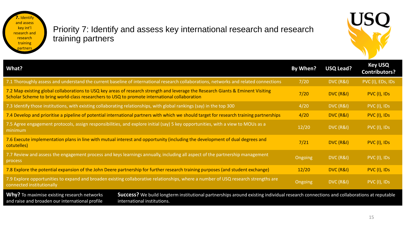**7.** Identify and assess key int'l research and research training partners

#### Priority 7: Identify and assess key international research and research training partners



| <b>What?</b>                                                                                                                                                                                                                                                                         | By When?       | <b>USQ Lead?</b> | <b>Key USQ</b><br><b>Contributors?</b> |
|--------------------------------------------------------------------------------------------------------------------------------------------------------------------------------------------------------------------------------------------------------------------------------------|----------------|------------------|----------------------------------------|
| 7.1 Thoroughly assess and understand the current baseline of international research collaborations, networks and related connections                                                                                                                                                 | 7/20           | DVC (R&I)        | PVC (I), EDs, IDs                      |
| 7.2 Map existing global collaborations to USQ key areas of research strength and leverage the Research Giants & Eminent Visiting<br>Scholar Scheme to bring world-class researchers to USQ to promote international collaboration                                                    | 7/20           | DVC (R&I)        | PVC (I), IDs                           |
| 7.3 Identify those institutions, with existing collaborating relationships, with global rankings (say) in the top 300                                                                                                                                                                | 4/20           | DVC (R&I)        | PVC (I), IDs                           |
| 7.4 Develop and prioritise a pipeline of potential international partners with which we should target for research training partnerships                                                                                                                                             | 4/20           | DVC (R&I)        | PVC (I), IDs                           |
| 7.5 Agree engagement protocols, assign responsibilities, and explore initial (say) 5 key opportunities, with a view to MOUs as a<br>minimum                                                                                                                                          | 12/20          | DVC (R&I)        | PVC (I), IDs                           |
| 7.6 Execute implementation plans in line with mutual interest and opportunity (including the development of dual degrees and<br>cotutelles)                                                                                                                                          | 7/21           | DVC (R&I)        | PVC (I), IDs                           |
| 7.7 Review and assess the engagement process and keys learnings annually, including all aspect of the partnership management<br>process                                                                                                                                              | <b>Ongoing</b> | DVC (R&I)        | PVC (I), IDs                           |
| 7.8 Explore the potential expansion of the John Deere partnership for further research training purposes (and student exchange)                                                                                                                                                      | 12/20          | DVC (R&I)        | PVC (I), IDs                           |
| 7.9 Explore opportunities to expand and broaden existing collaborative relationships, where a number of USQ research strengths are<br>connected institutionally                                                                                                                      | <b>Ongoing</b> | DVC (R&I)        | PVC (I), IDs                           |
| <b>Why?</b> To maximise existing research networks<br><b>Success?</b> We build longterm institutional partnerships around existing individual research connections and collaborations at reputable<br>and raise and broaden our international profile<br>international institutions. |                |                  |                                        |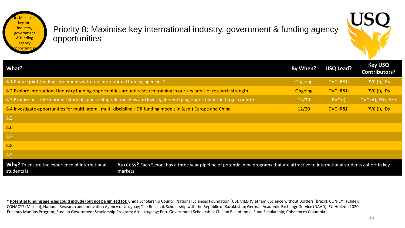**8.** Maximise key int'l industry, government & funding agency portunit

#### Priority 8: Maximise key international industry, government & funding agency opportunities



| What?                                                                                                                       |                                                                                                                                                 | By When?       | <b>USQ Lead?</b> | <b>Key USQ</b><br><b>Contributors?</b> |
|-----------------------------------------------------------------------------------------------------------------------------|-------------------------------------------------------------------------------------------------------------------------------------------------|----------------|------------------|----------------------------------------|
| 8.1 Pursue joint funding agreements with top international funding agencies*                                                |                                                                                                                                                 | Ongoing        | DVC (R&I)        | PVC (I), IDs                           |
|                                                                                                                             | 8.2 Explore international industry funding opportunities around research training in our key areas of research strength                         | <b>Ongoing</b> | DVC (R&I)        | PVC (I), IDs                           |
| 8.3 Explore past international student sponsorship relationships and investigate emerging opportunities in target countries |                                                                                                                                                 | 12/20          | PVC(1)           | DVC (A), EDs, HoS                      |
|                                                                                                                             | 8.4 Investigate opportunities for multi-lateral, multi-discipline HDR funding models in (esp.) Europe and China                                 | 12/20          | DVC (R&I)        | PVC (I), IDs                           |
| 8.5                                                                                                                         |                                                                                                                                                 |                |                  |                                        |
| 8.6                                                                                                                         |                                                                                                                                                 |                |                  |                                        |
| 8.7                                                                                                                         |                                                                                                                                                 |                |                  |                                        |
| 8.8                                                                                                                         |                                                                                                                                                 |                |                  |                                        |
| 8.9                                                                                                                         |                                                                                                                                                 |                |                  |                                        |
| Why? To ensure the experience of international<br>students is                                                               | Success? Each School has a three year pipeline of potential new programs that are attractive to international students cohort in key<br>markets |                |                  |                                        |

**\* Potential funding agencies could include (but not be limited to):** China Scholarship Council; National Sciences Foundation (US); VIED (Vietnam); Science without Borders (Brazil); CONICYT (Chile); CONACYT (Mexico); National Research and Innovation Agency of Uruguay; The Bolashak Scholarship with the Republic of Kazakhstan; German Academic Exchange Service (DAAD); EU Horizon 2020 Erasmus Mundus Program; Russian Government Scholarship Program; ANII Uruguay; Peru Government Scholarship; Chilean Bicentennial Fund Scholarship; Colsciences Columbia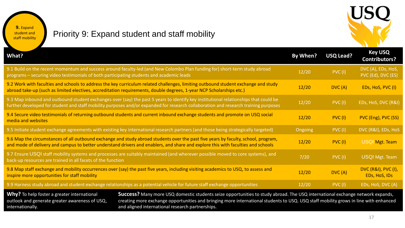

**9.** Expand student and staff mobility

# Priority 9: Expand student and staff mobility

| <b>What?</b>                                                                                                                                                                                                                                                                                                                                                                                                                                   |                                                                                                                                                                                                                                                                             | By When?       | <b>USQ Lead?</b> | <b>Key USQ</b><br><b>Contributors?</b>          |
|------------------------------------------------------------------------------------------------------------------------------------------------------------------------------------------------------------------------------------------------------------------------------------------------------------------------------------------------------------------------------------------------------------------------------------------------|-----------------------------------------------------------------------------------------------------------------------------------------------------------------------------------------------------------------------------------------------------------------------------|----------------|------------------|-------------------------------------------------|
| programs - securing video testimonials of both participating students and academic leads                                                                                                                                                                                                                                                                                                                                                       | 9.1 Build on the recent momentum and success around faculty-led (and New Colombo Plan funding for) short-term study abroad                                                                                                                                                  | 12/20          | <b>PVC (I)</b>   | DVC (A), EDs, HoS,<br>PVC (Ed), DVC (ES)        |
|                                                                                                                                                                                                                                                                                                                                                                                                                                                | 9.2 Work with faculties and schools to address the key curriculum related challenges, limiting outbound student exchange and study<br>abroad take-up (such as limited electives, accreditation requirements, double degrees, 1-year NCP Scholarships etc.)                  | 12/20          | DVC(A)           | EDs, HoS, PVC (I)                               |
|                                                                                                                                                                                                                                                                                                                                                                                                                                                | 9.3 Map inbound and outbound student exchanges over (say) the past 5 years to identify key institutional relationships that could be<br>further developed for student and staff mobility purposes and/or expanded for research collaboration and research training purposes | 12/20          | PVC(1)           | EDs, HoS, DVC (R&I)                             |
| media and websites                                                                                                                                                                                                                                                                                                                                                                                                                             | 9.4 Secure video testimonials of returning outbound students and current inbound exchange students and promote on USQ social                                                                                                                                                | 12/20          | PVC(1)           | PVC (Eng), PVC (SS)                             |
|                                                                                                                                                                                                                                                                                                                                                                                                                                                | 9.5 Initiate student exchange agreements with existing key international research partners (and those being strategically targeted)                                                                                                                                         | <b>Ongoing</b> | PVC(1)           | DVC (R&I), EDs, HoS                             |
| 9.6 Map the circumstances of all outbound exchange and study abroad students over the past five years by faculty, school, program,<br>and mode of delivery and campus to better understand drivers and enablers, and share and explore this with faculties and schools                                                                                                                                                                         |                                                                                                                                                                                                                                                                             | 12/20          | PVC(1)           | <b>USQI Mgt. Team</b>                           |
| back-up resources are trained in all facets of the function                                                                                                                                                                                                                                                                                                                                                                                    | 9.7 Ensure USQI staff mobility systems and processes are suitably maintained (and wherever possible moved to core systems), and                                                                                                                                             | 7/20           | <b>PVC (I)</b>   | <b>USQI Mgt. Team</b>                           |
| 9.8 Map staff exchange and mobility occurrences over (say) the past five years, including visiting academics to USQ, to assess and<br>inspire more opportunities for staff mobility                                                                                                                                                                                                                                                            |                                                                                                                                                                                                                                                                             | 12/20          | DVC(A)           | <b>DVC (R&amp;I), PVC (I),</b><br>EDs, HoS, IDs |
|                                                                                                                                                                                                                                                                                                                                                                                                                                                | 9.9 Harness study abroad and student exchange relationships as a potential vehicle for future staff exchange opportunities                                                                                                                                                  | 12/20          | PVC(1)           | EDs, HoS, DVC (A)                               |
| Why? To help foster a greater international<br>Success? Many more USQ domestic students seize opportunities to study abroad. The USQ international exchange network expands,<br>creating more exchange opportunities and bringing more international students to USQ. USQ staff mobility grows in line with enhanced<br>outlook and generate greater awareness of USQ,<br>and aligned international research partnerships.<br>internationally. |                                                                                                                                                                                                                                                                             |                |                  |                                                 |